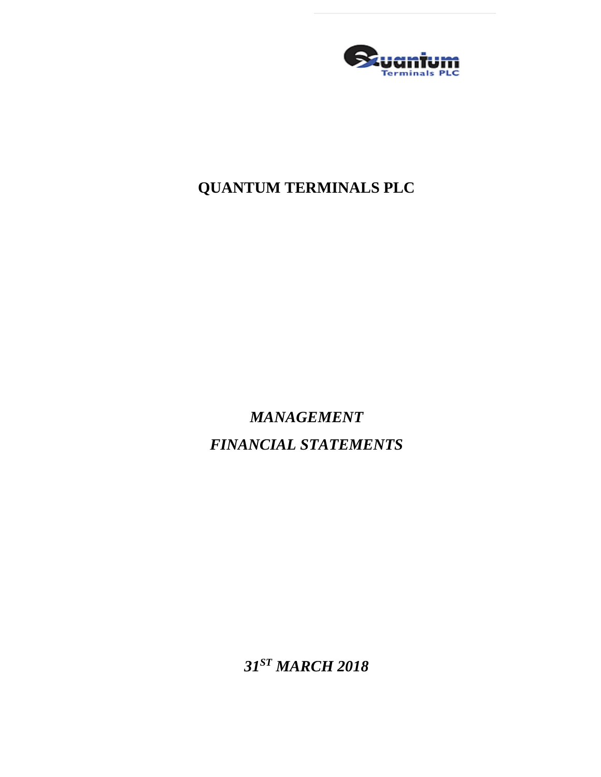

*MANAGEMENT FINANCIAL STATEMENTS*

*31 ST MARCH 2018*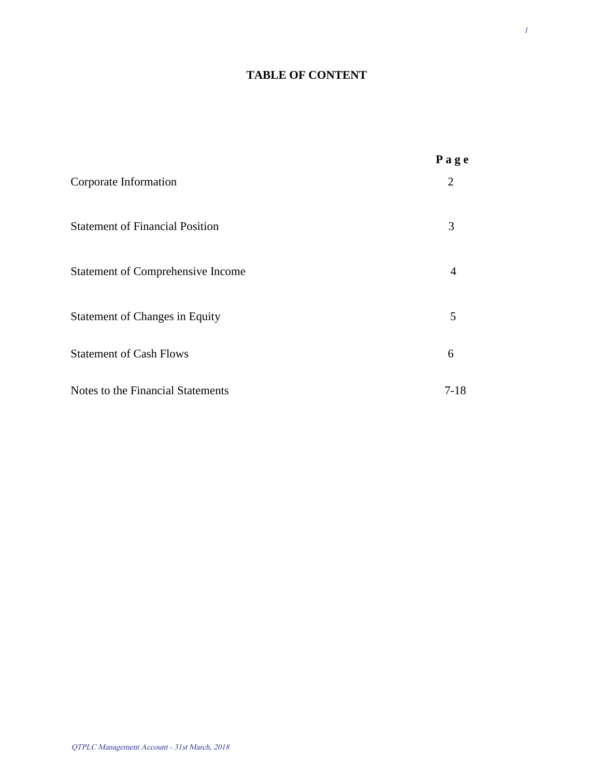### **TABLE OF CONTENT**

|                                          | Page |
|------------------------------------------|------|
| Corporate Information                    | 2    |
| <b>Statement of Financial Position</b>   | 3    |
| <b>Statement of Comprehensive Income</b> | 4    |
| <b>Statement of Changes in Equity</b>    | 5    |
| <b>Statement of Cash Flows</b>           | 6    |
| Notes to the Financial Statements        | 7-18 |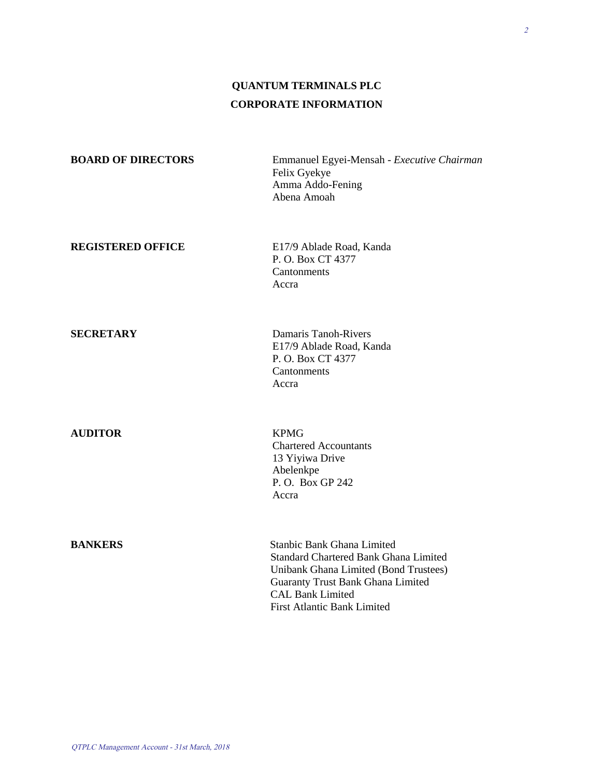# **QUANTUM TERMINALS PLC CORPORATE INFORMATION**

| <b>BOARD OF DIRECTORS</b> | Emmanuel Egyei-Mensah - Executive Chairman<br>Felix Gyekye<br>Amma Addo-Fening<br>Abena Amoah                                                                                              |
|---------------------------|--------------------------------------------------------------------------------------------------------------------------------------------------------------------------------------------|
| <b>REGISTERED OFFICE</b>  | E17/9 Ablade Road, Kanda<br>P. O. Box CT 4377<br>Cantonments<br>Accra                                                                                                                      |
| <b>SECRETARY</b>          | Damaris Tanoh-Rivers<br>E17/9 Ablade Road, Kanda<br>P. O. Box CT 4377<br>Cantonments<br>Accra                                                                                              |
| <b>AUDITOR</b>            | <b>KPMG</b><br><b>Chartered Accountants</b><br>13 Yiyiwa Drive<br>Abelenkpe<br>P.O. Box GP 242<br>Accra                                                                                    |
| <b>BANKERS</b>            | Stanbic Bank Ghana Limited<br><b>Standard Chartered Bank Ghana Limited</b><br>Unibank Ghana Limited (Bond Trustees)<br><b>Guaranty Trust Bank Ghana Limited</b><br><b>CAL Bank Limited</b> |

First Atlantic Bank Limited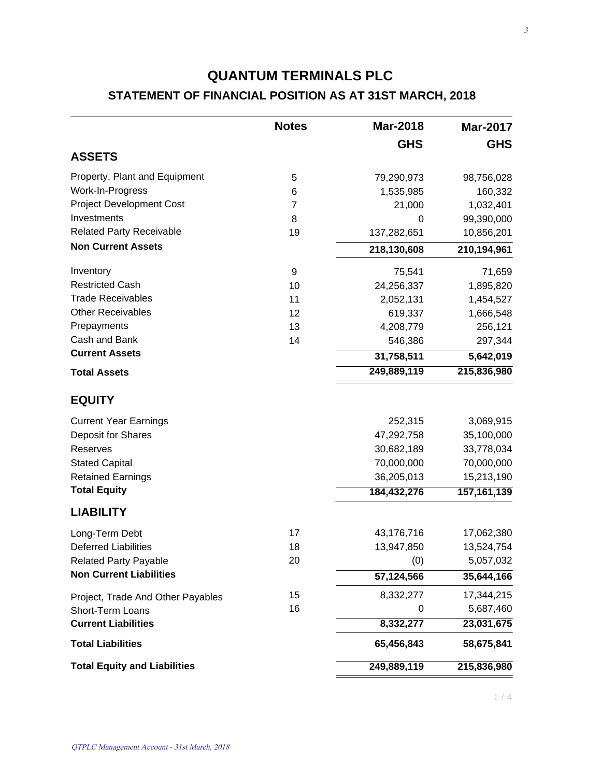## **STATEMENT OF FINANCIAL POSITION AS AT 31ST MARCH, 2018**

|                                     | <b>Notes</b> | <b>Mar-2018</b> | <b>Mar-2017</b> |
|-------------------------------------|--------------|-----------------|-----------------|
|                                     |              | <b>GHS</b>      | <b>GHS</b>      |
| <b>ASSETS</b>                       |              |                 |                 |
| Property, Plant and Equipment       | 5            | 79,290,973      | 98,756,028      |
| Work-In-Progress                    | 6            | 1,535,985       | 160,332         |
| <b>Project Development Cost</b>     | 7            | 21,000          | 1,032,401       |
| Investments                         | 8            | 0               | 99,390,000      |
| <b>Related Party Receivable</b>     | 19           | 137,282,651     | 10,856,201      |
| <b>Non Current Assets</b>           |              | 218,130,608     | 210,194,961     |
| Inventory                           | 9            | 75,541          | 71,659          |
| <b>Restricted Cash</b>              | 10           | 24,256,337      | 1,895,820       |
| <b>Trade Receivables</b>            | 11           | 2,052,131       | 1,454,527       |
| <b>Other Receivables</b>            | 12           | 619,337         | 1,666,548       |
| Prepayments                         | 13           | 4,208,779       | 256,121         |
| Cash and Bank                       | 14           | 546,386         | 297,344         |
| <b>Current Assets</b>               |              | 31,758,511      | 5,642,019       |
| <b>Total Assets</b>                 |              | 249,889,119     | 215,836,980     |
| <b>EQUITY</b>                       |              |                 |                 |
| <b>Current Year Earnings</b>        |              | 252,315         | 3,069,915       |
| Deposit for Shares                  |              | 47,292,758      | 35,100,000      |
| Reserves                            |              | 30,682,189      | 33,778,034      |
| <b>Stated Capital</b>               |              | 70,000,000      | 70,000,000      |
| <b>Retained Earnings</b>            |              | 36,205,013      | 15,213,190      |
| <b>Total Equity</b>                 |              | 184,432,276     | 157, 161, 139   |
| <b>LIABILITY</b>                    |              |                 |                 |
| Long-Term Debt                      | 17           | 43,176,716      | 17,062,380      |
| <b>Deferred Liabilities</b>         | 18           | 13,947,850      | 13,524,754      |
| <b>Related Party Payable</b>        | 20           | (0)             | 5,057,032       |
| <b>Non Current Liabilities</b>      |              | 57,124,566      | 35,644,166      |
| Project, Trade And Other Payables   | 15           | 8,332,277       | 17,344,215      |
| Short-Term Loans                    | 16           | 0               | 5,687,460       |
| <b>Current Liabilities</b>          |              | 8,332,277       | 23,031,675      |
| <b>Total Liabilities</b>            |              | 65,456,843      | 58,675,841      |
| <b>Total Equity and Liabilities</b> |              | 249,889,119     | 215,836,980     |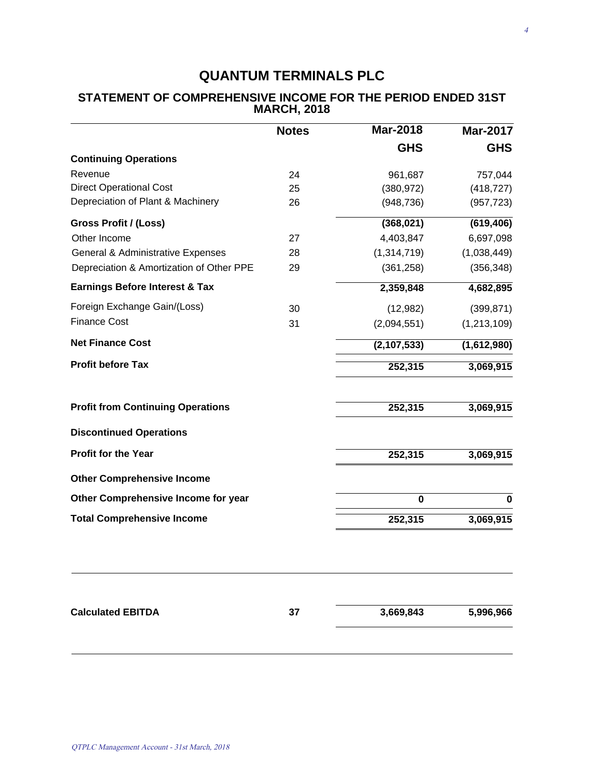|                                              | <b>Notes</b> | <b>Mar-2018</b> | <b>Mar-2017</b> |
|----------------------------------------------|--------------|-----------------|-----------------|
|                                              |              | <b>GHS</b>      | <b>GHS</b>      |
| <b>Continuing Operations</b>                 |              |                 |                 |
| Revenue                                      | 24           | 961,687         | 757,044         |
| <b>Direct Operational Cost</b>               | 25           | (380, 972)      | (418, 727)      |
| Depreciation of Plant & Machinery            | 26           | (948, 736)      | (957, 723)      |
| Gross Profit / (Loss)                        |              | (368, 021)      | (619, 406)      |
| Other Income                                 | 27           | 4,403,847       | 6,697,098       |
| <b>General &amp; Administrative Expenses</b> | 28           | (1,314,719)     | (1,038,449)     |
| Depreciation & Amortization of Other PPE     | 29           | (361, 258)      | (356, 348)      |
| <b>Earnings Before Interest &amp; Tax</b>    |              | 2,359,848       | 4,682,895       |
| Foreign Exchange Gain/(Loss)                 | 30           | (12,982)        | (399, 871)      |
| <b>Finance Cost</b>                          | 31           | (2,094,551)     | (1, 213, 109)   |
| <b>Net Finance Cost</b>                      |              | (2, 107, 533)   | (1,612,980)     |
| <b>Profit before Tax</b>                     |              | 252,315         | 3,069,915       |
| <b>Profit from Continuing Operations</b>     |              | 252,315         | 3,069,915       |
| <b>Discontinued Operations</b>               |              |                 |                 |
| <b>Profit for the Year</b>                   |              | 252,315         | 3,069,915       |
| <b>Other Comprehensive Income</b>            |              |                 |                 |
| Other Comprehensive Income for year          |              | $\bf{0}$        | $\bf{0}$        |
| <b>Total Comprehensive Income</b>            |              | 252,315         | 3,069,915       |
|                                              |              |                 |                 |
|                                              |              |                 |                 |

#### **STATEMENT OF COMPREHENSIVE INCOME FOR THE PERIOD ENDED 31ST MARCH, 2018**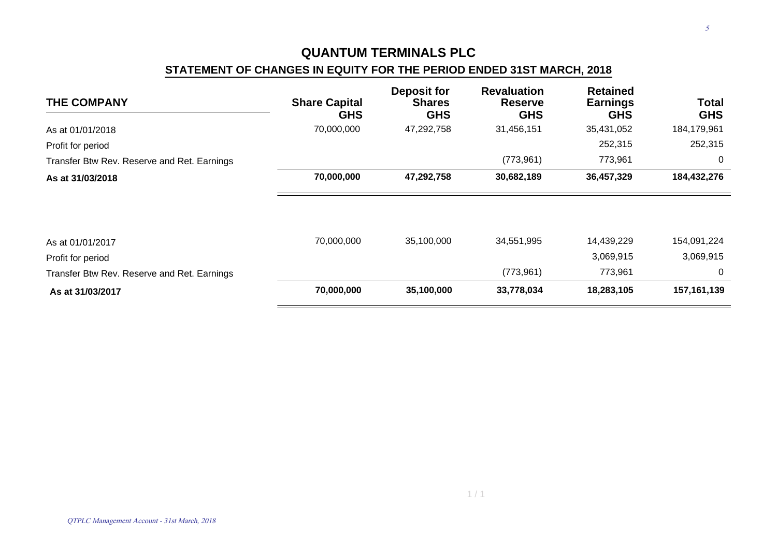### **STATEMENT OF CHANGES IN EQUITY FOR THE PERIOD ENDED 31ST MARCH, 2018**

| <b>THE COMPANY</b>                          | <b>Share Capital</b><br><b>GHS</b> | <b>Deposit for</b><br><b>Shares</b><br><b>GHS</b> | <b>Revaluation</b><br><b>Reserve</b><br><b>GHS</b> | <b>Retained</b><br><b>Earnings</b><br><b>GHS</b> | <b>Total</b><br><b>GHS</b> |
|---------------------------------------------|------------------------------------|---------------------------------------------------|----------------------------------------------------|--------------------------------------------------|----------------------------|
| As at 01/01/2018                            | 70,000,000                         | 47,292,758                                        | 31,456,151                                         | 35,431,052                                       | 184,179,961                |
| Profit for period                           |                                    |                                                   |                                                    | 252,315                                          | 252,315                    |
| Transfer Btw Rev. Reserve and Ret. Earnings |                                    |                                                   | (773, 961)                                         | 773,961                                          | 0                          |
| As at 31/03/2018                            | 70,000,000                         | 47,292,758                                        | 30,682,189                                         | 36,457,329                                       | 184,432,276                |
|                                             |                                    |                                                   |                                                    |                                                  |                            |
| As at 01/01/2017                            | 70,000,000                         | 35,100,000                                        | 34,551,995                                         | 14,439,229                                       | 154,091,224                |
| Profit for period                           |                                    |                                                   |                                                    | 3,069,915                                        | 3,069,915                  |
| Transfer Btw Rev. Reserve and Ret. Earnings |                                    |                                                   | (773, 961)                                         | 773,961                                          | $\mathbf 0$                |
| As at 31/03/2017                            | 70,000,000                         | 35,100,000                                        | 33,778,034                                         | 18,283,105                                       | 157, 161, 139              |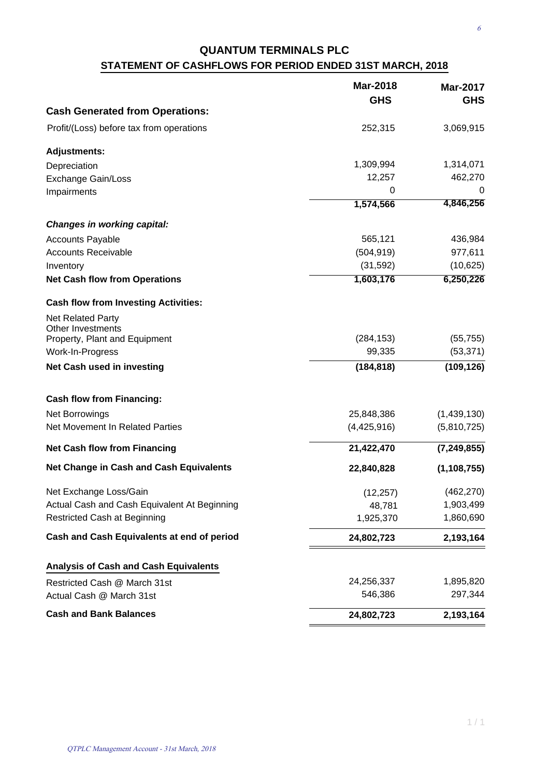# **QUANTUM TERMINALS PLC STATEMENT OF CASHFLOWS FOR PERIOD ENDED 31ST MARCH, 2018**

|                                                      | <b>Mar-2018</b><br><b>GHS</b> | <b>Mar-2017</b><br><b>GHS</b> |
|------------------------------------------------------|-------------------------------|-------------------------------|
| <b>Cash Generated from Operations:</b>               |                               |                               |
| Profit/(Loss) before tax from operations             | 252,315                       | 3,069,915                     |
| <b>Adjustments:</b>                                  |                               |                               |
| Depreciation                                         | 1,309,994                     | 1,314,071                     |
| <b>Exchange Gain/Loss</b>                            | 12,257                        | 462,270                       |
| Impairments                                          | 0                             | 0                             |
|                                                      | 1,574,566                     | 4,846,256                     |
| <b>Changes in working capital:</b>                   |                               |                               |
| <b>Accounts Payable</b>                              | 565,121                       | 436,984                       |
| <b>Accounts Receivable</b>                           | (504, 919)                    | 977,611                       |
| Inventory                                            | (31, 592)                     | (10, 625)                     |
| <b>Net Cash flow from Operations</b>                 | 1,603,176                     | 6,250,226                     |
| <b>Cash flow from Investing Activities:</b>          |                               |                               |
| <b>Net Related Party</b><br><b>Other Investments</b> |                               |                               |
| Property, Plant and Equipment                        | (284, 153)                    | (55, 755)                     |
| Work-In-Progress                                     | 99,335                        | (53, 371)                     |
| Net Cash used in investing                           | (184, 818)                    | (109, 126)                    |
| <b>Cash flow from Financing:</b>                     |                               |                               |
| Net Borrowings                                       | 25,848,386                    | (1,439,130)                   |
| Net Movement In Related Parties                      | (4,425,916)                   | (5,810,725)                   |
| <b>Net Cash flow from Financing</b>                  | 21,422,470                    | (7, 249, 855)                 |
| <b>Net Change in Cash and Cash Equivalents</b>       | 22,840,828                    | (1, 108, 755)                 |
| Net Exchange Loss/Gain                               | (12, 257)                     | (462, 270)                    |
| Actual Cash and Cash Equivalent At Beginning         | 48,781                        | 1,903,499                     |
| Restricted Cash at Beginning                         | 1,925,370                     | 1,860,690                     |
| Cash and Cash Equivalents at end of period           | 24,802,723                    | 2,193,164                     |
| <b>Analysis of Cash and Cash Equivalents</b>         |                               |                               |
| Restricted Cash @ March 31st                         | 24,256,337                    | 1,895,820                     |
| Actual Cash @ March 31st                             | 546,386                       | 297,344                       |
| <b>Cash and Bank Balances</b>                        | 24,802,723                    | 2,193,164                     |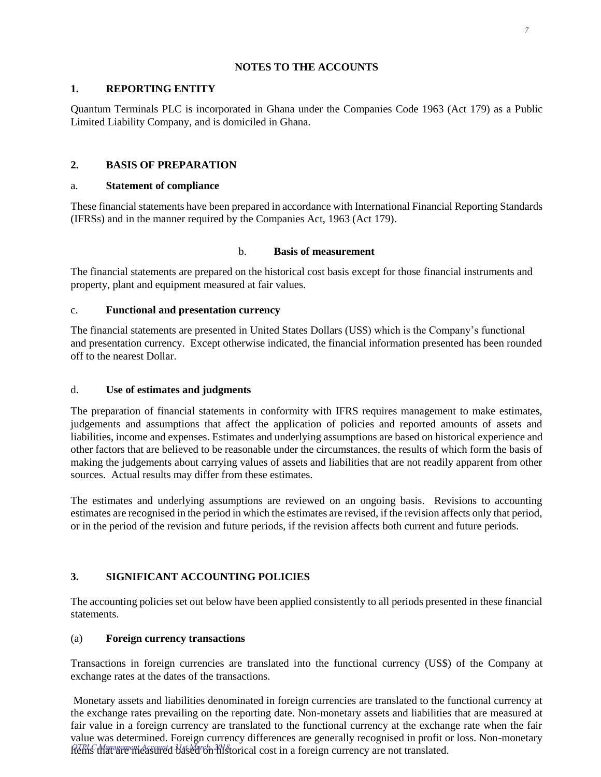#### **NOTES TO THE ACCOUNTS**

#### **1. REPORTING ENTITY**

Quantum Terminals PLC is incorporated in Ghana under the Companies Code 1963 (Act 179) as a Public Limited Liability Company, and is domiciled in Ghana.

### **2. BASIS OF PREPARATION**

#### a. **Statement of compliance**

These financial statements have been prepared in accordance with International Financial Reporting Standards (IFRSs) and in the manner required by the Companies Act, 1963 (Act 179).

#### b. **Basis of measurement**

The financial statements are prepared on the historical cost basis except for those financial instruments and property, plant and equipment measured at fair values.

#### c. **Functional and presentation currency**

The financial statements are presented in United States Dollars (US\$) which is the Company's functional and presentation currency. Except otherwise indicated, the financial information presented has been rounded off to the nearest Dollar.

#### d. **Use of estimates and judgments**

The preparation of financial statements in conformity with IFRS requires management to make estimates, judgements and assumptions that affect the application of policies and reported amounts of assets and liabilities, income and expenses. Estimates and underlying assumptions are based on historical experience and other factors that are believed to be reasonable under the circumstances, the results of which form the basis of making the judgements about carrying values of assets and liabilities that are not readily apparent from other sources. Actual results may differ from these estimates.

The estimates and underlying assumptions are reviewed on an ongoing basis. Revisions to accounting estimates are recognised in the period in which the estimates are revised, if the revision affects only that period, or in the period of the revision and future periods, if the revision affects both current and future periods.

#### **3. SIGNIFICANT ACCOUNTING POLICIES**

The accounting policies set out below have been applied consistently to all periods presented in these financial statements.

#### (a) **Foreign currency transactions**

Transactions in foreign currencies are translated into the functional currency (US\$) of the Company at exchange rates at the dates of the transactions.

Monetary assets and liabilities denominated in foreign currencies are translated to the functional currency at the exchange rates prevailing on the reporting date. Non-monetary assets and liabilities that are measured at fair value in a foreign currency are translated to the functional currency at the exchange rate when the fair value was determined. Foreign currency differences are generally recognised in profit or loss. Non-monetary  $QTPLC$  Management Account 4 11st March, 2018<br>Items that are measured based on historical cost in a foreign currency are not translated.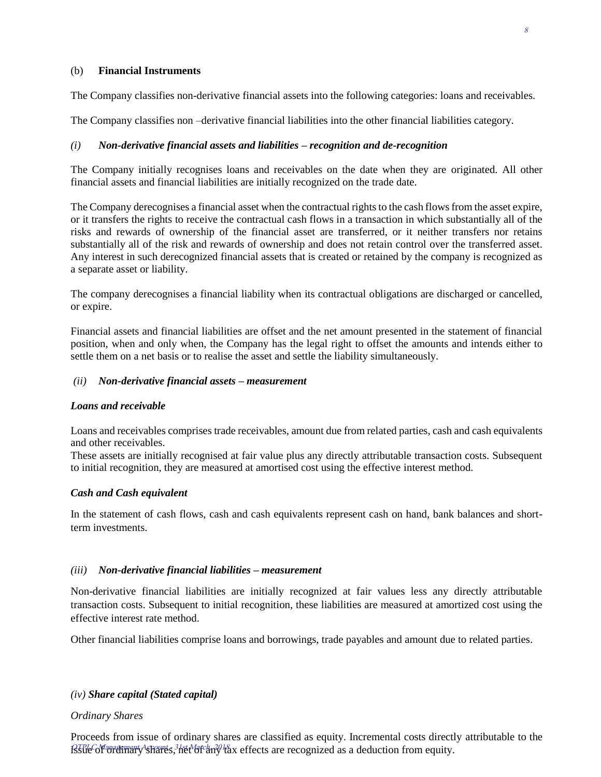#### (b) **Financial Instruments**

The Company classifies non-derivative financial assets into the following categories: loans and receivables.

The Company classifies non –derivative financial liabilities into the other financial liabilities category.

#### *(i) Non-derivative financial assets and liabilities – recognition and de-recognition*

The Company initially recognises loans and receivables on the date when they are originated. All other financial assets and financial liabilities are initially recognized on the trade date.

The Company derecognises a financial asset when the contractual rights to the cash flows from the asset expire, or it transfers the rights to receive the contractual cash flows in a transaction in which substantially all of the risks and rewards of ownership of the financial asset are transferred, or it neither transfers nor retains substantially all of the risk and rewards of ownership and does not retain control over the transferred asset. Any interest in such derecognized financial assets that is created or retained by the company is recognized as a separate asset or liability.

The company derecognises a financial liability when its contractual obligations are discharged or cancelled, or expire.

Financial assets and financial liabilities are offset and the net amount presented in the statement of financial position, when and only when, the Company has the legal right to offset the amounts and intends either to settle them on a net basis or to realise the asset and settle the liability simultaneously.

#### *(ii) Non-derivative financial assets – measurement*

#### *Loans and receivable*

Loans and receivables comprises trade receivables, amount due from related parties, cash and cash equivalents and other receivables.

These assets are initially recognised at fair value plus any directly attributable transaction costs. Subsequent to initial recognition, they are measured at amortised cost using the effective interest method.

#### *Cash and Cash equivalent*

In the statement of cash flows, cash and cash equivalents represent cash on hand, bank balances and shortterm investments.

#### *(iii) Non-derivative financial liabilities – measurement*

Non-derivative financial liabilities are initially recognized at fair values less any directly attributable transaction costs. Subsequent to initial recognition, these liabilities are measured at amortized cost using the effective interest rate method.

Other financial liabilities comprise loans and borrowings, trade payables and amount due to related parties.

#### *(iv) Share capital (Stated capital)*

#### *Ordinary Shares*

Proceeds from issue of ordinary shares are classified as equity. Incremental costs directly attributable to the  $\Omega$ TPLC Management Accounts, 31st March, 2018<br>SSue of ordinary shares, het of any tax effects are recognized as a deduction from equity.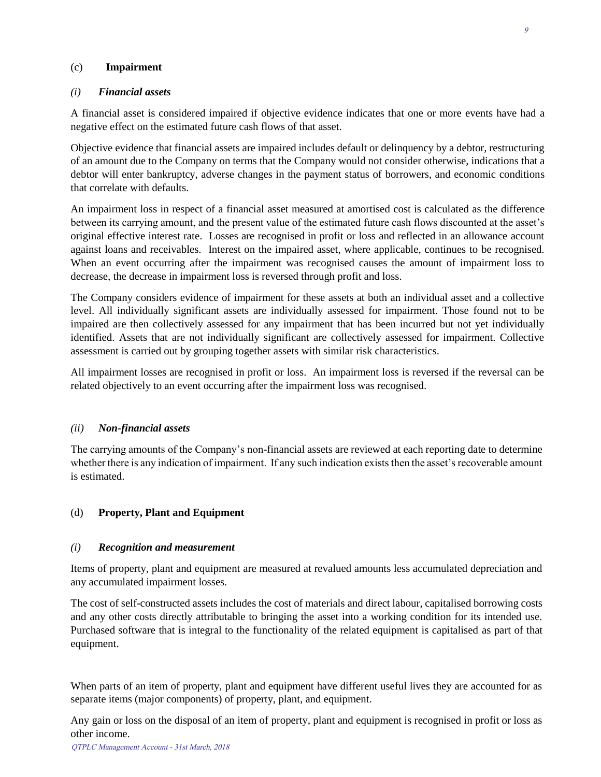#### (c) **Impairment**

#### *(i) Financial assets*

A financial asset is considered impaired if objective evidence indicates that one or more events have had a negative effect on the estimated future cash flows of that asset.

Objective evidence that financial assets are impaired includes default or delinquency by a debtor, restructuring of an amount due to the Company on terms that the Company would not consider otherwise, indications that a debtor will enter bankruptcy, adverse changes in the payment status of borrowers, and economic conditions that correlate with defaults.

An impairment loss in respect of a financial asset measured at amortised cost is calculated as the difference between its carrying amount, and the present value of the estimated future cash flows discounted at the asset's original effective interest rate. Losses are recognised in profit or loss and reflected in an allowance account against loans and receivables. Interest on the impaired asset, where applicable, continues to be recognised. When an event occurring after the impairment was recognised causes the amount of impairment loss to decrease, the decrease in impairment loss is reversed through profit and loss.

The Company considers evidence of impairment for these assets at both an individual asset and a collective level. All individually significant assets are individually assessed for impairment. Those found not to be impaired are then collectively assessed for any impairment that has been incurred but not yet individually identified. Assets that are not individually significant are collectively assessed for impairment. Collective assessment is carried out by grouping together assets with similar risk characteristics.

All impairment losses are recognised in profit or loss. An impairment loss is reversed if the reversal can be related objectively to an event occurring after the impairment loss was recognised.

#### *(ii) Non-financial assets*

The carrying amounts of the Company's non-financial assets are reviewed at each reporting date to determine whether there is any indication of impairment. If any such indication exists then the asset's recoverable amount is estimated.

#### (d) **Property, Plant and Equipment**

#### *(i) Recognition and measurement*

Items of property, plant and equipment are measured at revalued amounts less accumulated depreciation and any accumulated impairment losses.

The cost of self-constructed assets includes the cost of materials and direct labour, capitalised borrowing costs and any other costs directly attributable to bringing the asset into a working condition for its intended use. Purchased software that is integral to the functionality of the related equipment is capitalised as part of that equipment.

When parts of an item of property, plant and equipment have different useful lives they are accounted for as separate items (major components) of property, plant, and equipment.

Any gain or loss on the disposal of an item of property, plant and equipment is recognised in profit or loss as other income.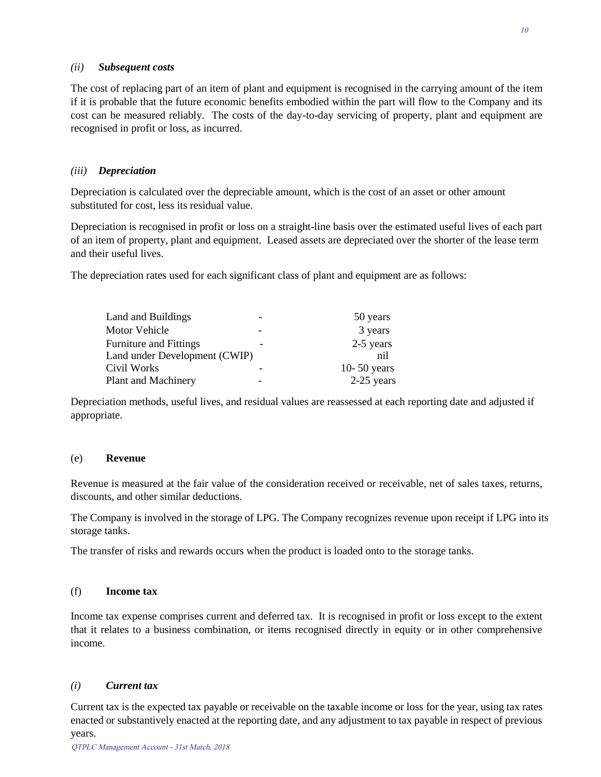#### *(ii) Subsequent costs*

The cost of replacing part of an item of plant and equipment is recognised in the carrying amount of the item if it is probable that the future economic benefits embodied within the part will flow to the Company and its cost can be measured reliably. The costs of the day-to-day servicing of property, plant and equipment are recognised in profit or loss, as incurred.

#### *(iii) Depreciation*

Depreciation is calculated over the depreciable amount, which is the cost of an asset or other amount substituted for cost, less its residual value.

Depreciation is recognised in profit or loss on a straight-line basis over the estimated useful lives of each part of an item of property, plant and equipment. Leased assets are depreciated over the shorter of the lease term and their useful lives.

The depreciation rates used for each significant class of plant and equipment are as follows:

| Land and Buildings            | 50 years    |
|-------------------------------|-------------|
| Motor Vehicle                 | 3 years     |
| <b>Furniture and Fittings</b> | 2-5 years   |
| Land under Development (CWIP) | nil         |
| Civil Works                   | 10-50 years |
| Plant and Machinery           | 2-25 years  |

Depreciation methods, useful lives, and residual values are reassessed at each reporting date and adjusted if appropriate.

#### (e) **Revenue**

Revenue is measured at the fair value of the consideration received or receivable, net of sales taxes, returns, discounts, and other similar deductions.

The Company is involved in the storage of LPG. The Company recognizes revenue upon receipt if LPG into its storage tanks.

The transfer of risks and rewards occurs when the product is loaded onto to the storage tanks.

#### (f) **Income tax**

Income tax expense comprises current and deferred tax. It is recognised in profit or loss except to the extent that it relates to a business combination, or items recognised directly in equity or in other comprehensive income.

#### *(i) Current tax*

Current tax is the expected tax payable or receivable on the taxable income or loss for the year, using tax rates enacted or substantively enacted at the reporting date, and any adjustment to tax payable in respect of previous years.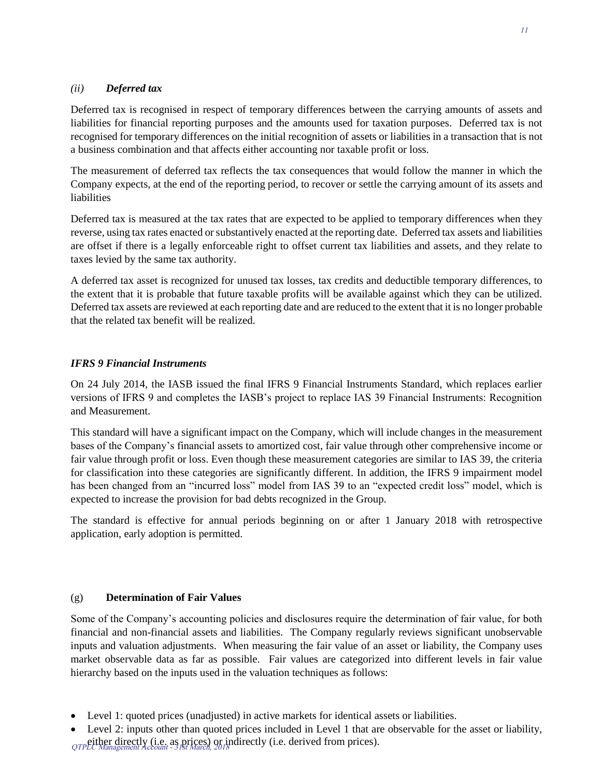#### *(ii) Deferred tax*

Deferred tax is recognised in respect of temporary differences between the carrying amounts of assets and liabilities for financial reporting purposes and the amounts used for taxation purposes. Deferred tax is not recognised for temporary differences on the initial recognition of assets or liabilities in a transaction that is not a business combination and that affects either accounting nor taxable profit or loss.

The measurement of deferred tax reflects the tax consequences that would follow the manner in which the Company expects, at the end of the reporting period, to recover or settle the carrying amount of its assets and liabilities

Deferred tax is measured at the tax rates that are expected to be applied to temporary differences when they reverse, using tax rates enacted or substantively enacted at the reporting date. Deferred tax assets and liabilities are offset if there is a legally enforceable right to offset current tax liabilities and assets, and they relate to taxes levied by the same tax authority.

A deferred tax asset is recognized for unused tax losses, tax credits and deductible temporary differences, to the extent that it is probable that future taxable profits will be available against which they can be utilized. Deferred tax assets are reviewed at each reporting date and are reduced to the extent that it is no longer probable that the related tax benefit will be realized.

#### *IFRS 9 Financial Instruments*

On 24 July 2014, the IASB issued the final IFRS 9 Financial Instruments Standard, which replaces earlier versions of IFRS 9 and completes the IASB's project to replace IAS 39 Financial Instruments: Recognition and Measurement.

This standard will have a significant impact on the Company, which will include changes in the measurement bases of the Company's financial assets to amortized cost, fair value through other comprehensive income or fair value through profit or loss. Even though these measurement categories are similar to IAS 39, the criteria for classification into these categories are significantly different. In addition, the IFRS 9 impairment model has been changed from an "incurred loss" model from IAS 39 to an "expected credit loss" model, which is expected to increase the provision for bad debts recognized in the Group.

The standard is effective for annual periods beginning on or after 1 January 2018 with retrospective application, early adoption is permitted.

#### (g) **Determination of Fair Values**

Some of the Company's accounting policies and disclosures require the determination of fair value, for both financial and non-financial assets and liabilities. The Company regularly reviews significant unobservable inputs and valuation adjustments. When measuring the fair value of an asset or liability, the Company uses market observable data as far as possible. Fair values are categorized into different levels in fair value hierarchy based on the inputs used in the valuation techniques as follows:

Level 1: quoted prices (unadjusted) in active markets for identical assets or liabilities.

Level 2: inputs other than quoted prices included in Level 1 that are observable for the asset or liability, QTPEtther directly (i.e. as prices) or indirectly (i.e. derived from prices).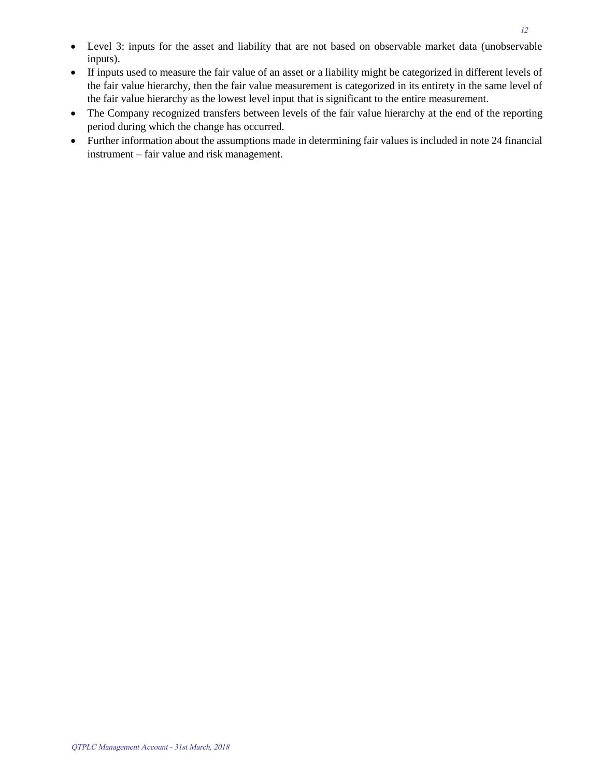- Level 3: inputs for the asset and liability that are not based on observable market data (unobservable inputs).
- If inputs used to measure the fair value of an asset or a liability might be categorized in different levels of the fair value hierarchy, then the fair value measurement is categorized in its entirety in the same level of the fair value hierarchy as the lowest level input that is significant to the entire measurement.
- The Company recognized transfers between levels of the fair value hierarchy at the end of the reporting period during which the change has occurred.
- Further information about the assumptions made in determining fair values is included in note 24 financial instrument – fair value and risk management.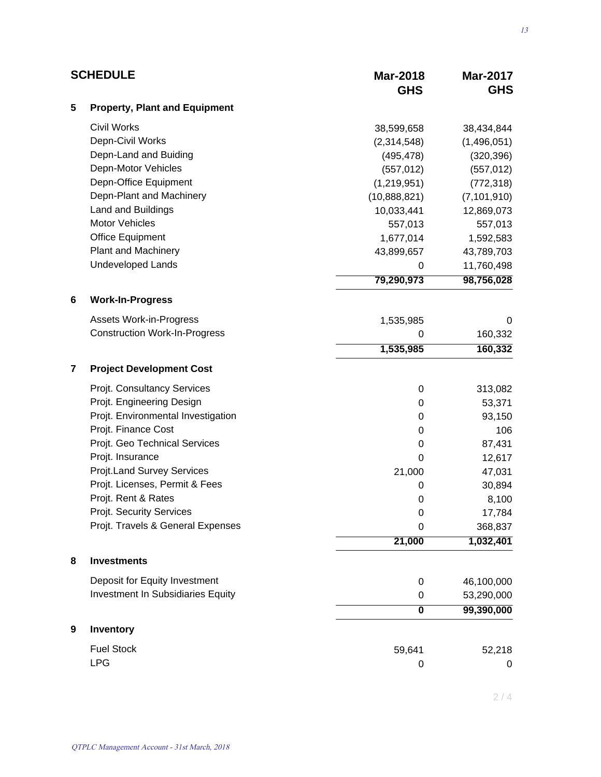| <b>SCHEDULE</b> |                                      | <b>Mar-2018</b><br><b>GHS</b> | <b>Mar-2017</b><br><b>GHS</b> |
|-----------------|--------------------------------------|-------------------------------|-------------------------------|
| 5               | <b>Property, Plant and Equipment</b> |                               |                               |
|                 | <b>Civil Works</b>                   | 38,599,658                    | 38,434,844                    |
|                 | Depn-Civil Works                     | (2,314,548)                   | (1,496,051)                   |
|                 | Depn-Land and Buiding                | (495, 478)                    | (320, 396)                    |
|                 | Depn-Motor Vehicles                  | (557, 012)                    | (557, 012)                    |
|                 | Depn-Office Equipment                | (1, 219, 951)                 | (772, 318)                    |
|                 | Depn-Plant and Machinery             | (10,888,821)                  | (7, 101, 910)                 |
|                 | Land and Buildings                   | 10,033,441                    | 12,869,073                    |
|                 | <b>Motor Vehicles</b>                | 557,013                       | 557,013                       |
|                 | <b>Office Equipment</b>              | 1,677,014                     | 1,592,583                     |
|                 | <b>Plant and Machinery</b>           | 43,899,657                    | 43,789,703                    |
|                 | <b>Undeveloped Lands</b>             | 0                             | 11,760,498                    |
|                 |                                      | 79,290,973                    | 98,756,028                    |
| 6               | <b>Work-In-Progress</b>              |                               |                               |
|                 | <b>Assets Work-in-Progress</b>       | 1,535,985                     | 0                             |
|                 | <b>Construction Work-In-Progress</b> | 0                             | 160,332                       |
|                 |                                      | 1,535,985                     | 160,332                       |
| 7               | <b>Project Development Cost</b>      |                               |                               |
|                 | Projt. Consultancy Services          | 0                             | 313,082                       |
|                 | Projt. Engineering Design            | 0                             | 53,371                        |
|                 | Projt. Environmental Investigation   | 0                             | 93,150                        |
|                 | Projt. Finance Cost                  | $\mathbf 0$                   | 106                           |
|                 | Projt. Geo Technical Services        | 0                             | 87,431                        |
|                 | Projt. Insurance                     | 0                             | 12,617                        |
|                 | Projt.Land Survey Services           | 21,000                        | 47,031                        |
|                 | Projt. Licenses, Permit & Fees       | 0                             | 30,894                        |
|                 | Projt. Rent & Rates                  | 0                             | 8,100                         |
|                 | Projt. Security Services             | $\mathbf 0$                   | 17,784                        |
|                 | Projt. Travels & General Expenses    | 0                             | 368,837                       |
|                 |                                      | 21,000                        | 1,032,401                     |
| 8               | <b>Investments</b>                   |                               |                               |
|                 | Deposit for Equity Investment        | 0                             | 46,100,000                    |
|                 | Investment In Subsidiaries Equity    | 0                             | 53,290,000                    |
|                 |                                      | 0                             | 99,390,000                    |
| 9               | Inventory                            |                               |                               |
|                 | <b>Fuel Stock</b>                    | 59,641                        | 52,218                        |
|                 | <b>LPG</b>                           | 0                             | $\boldsymbol{0}$              |

 $2/4$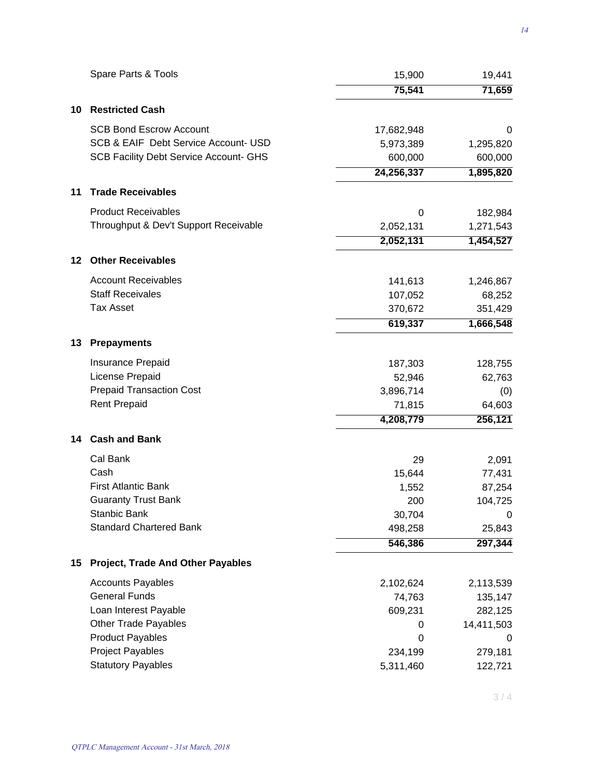|    | Spare Parts & Tools                           | 15,900     | 19,441     |
|----|-----------------------------------------------|------------|------------|
|    |                                               | 75,541     | 71,659     |
| 10 | <b>Restricted Cash</b>                        |            |            |
|    | <b>SCB Bond Escrow Account</b>                | 17,682,948 | 0          |
|    | SCB & EAIF Debt Service Account- USD          | 5,973,389  | 1,295,820  |
|    | <b>SCB Facility Debt Service Account- GHS</b> | 600,000    | 600,000    |
|    |                                               | 24,256,337 | 1,895,820  |
| 11 | <b>Trade Receivables</b>                      |            |            |
|    | <b>Product Receivables</b>                    | 0          | 182,984    |
|    | Throughput & Dev't Support Receivable         | 2,052,131  | 1,271,543  |
|    |                                               | 2,052,131  | 1,454,527  |
| 12 | <b>Other Receivables</b>                      |            |            |
|    | <b>Account Receivables</b>                    | 141,613    | 1,246,867  |
|    | <b>Staff Receivales</b>                       | 107,052    | 68,252     |
|    | <b>Tax Asset</b>                              | 370,672    | 351,429    |
|    |                                               | 619,337    | 1,666,548  |
| 13 | <b>Prepayments</b>                            |            |            |
|    | Insurance Prepaid                             | 187,303    | 128,755    |
|    | License Prepaid                               | 52,946     | 62,763     |
|    | <b>Prepaid Transaction Cost</b>               | 3,896,714  | (0)        |
|    | <b>Rent Prepaid</b>                           | 71,815     | 64,603     |
|    |                                               | 4,208,779  | 256,121    |
| 14 | <b>Cash and Bank</b>                          |            |            |
|    | Cal Bank                                      | 29         | 2,091      |
|    | Cash                                          | 15,644     | 77,431     |
|    | <b>First Atlantic Bank</b>                    | 1,552      | 87,254     |
|    | <b>Guaranty Trust Bank</b>                    | 200        | 104,725    |
|    | Stanbic Bank                                  | 30,704     | 0          |
|    | <b>Standard Chartered Bank</b>                | 498,258    | 25,843     |
|    |                                               | 546,386    | 297,344    |
| 15 | <b>Project, Trade And Other Payables</b>      |            |            |
|    | <b>Accounts Payables</b>                      | 2,102,624  | 2,113,539  |
|    | <b>General Funds</b>                          | 74,763     | 135,147    |
|    | Loan Interest Payable                         | 609,231    | 282,125    |
|    | Other Trade Payables                          | 0          | 14,411,503 |
|    | <b>Product Payables</b>                       | 0          | 0          |
|    | <b>Project Payables</b>                       | 234,199    | 279,181    |
|    | <b>Statutory Payables</b>                     | 5,311,460  | 122,721    |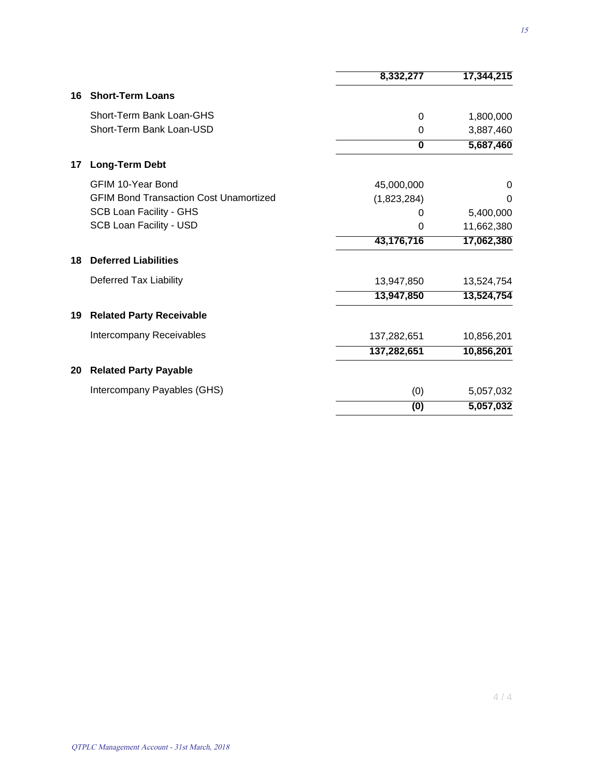|    |                                               | 8,332,277   | 17,344,215 |
|----|-----------------------------------------------|-------------|------------|
| 16 | <b>Short-Term Loans</b>                       |             |            |
|    | Short-Term Bank Loan-GHS                      | 0           | 1,800,000  |
|    | Short-Term Bank Loan-USD                      | 0           | 3,887,460  |
|    |                                               | 0           | 5,687,460  |
| 17 | <b>Long-Term Debt</b>                         |             |            |
|    | <b>GFIM 10-Year Bond</b>                      | 45,000,000  | 0          |
|    | <b>GFIM Bond Transaction Cost Unamortized</b> | (1,823,284) | 0          |
|    | <b>SCB Loan Facility - GHS</b>                | O           | 5,400,000  |
|    | <b>SCB Loan Facility - USD</b>                | 0           | 11,662,380 |
|    |                                               | 43,176,716  | 17,062,380 |
| 18 | <b>Deferred Liabilities</b>                   |             |            |
|    | Deferred Tax Liability                        | 13,947,850  | 13,524,754 |
|    |                                               | 13,947,850  | 13,524,754 |
| 19 | <b>Related Party Receivable</b>               |             |            |
|    | Intercompany Receivables                      | 137,282,651 | 10,856,201 |
|    |                                               | 137,282,651 | 10,856,201 |
| 20 | <b>Related Party Payable</b>                  |             |            |
|    | Intercompany Payables (GHS)                   | (0)         | 5,057,032  |
|    |                                               | (0)         | 5,057,032  |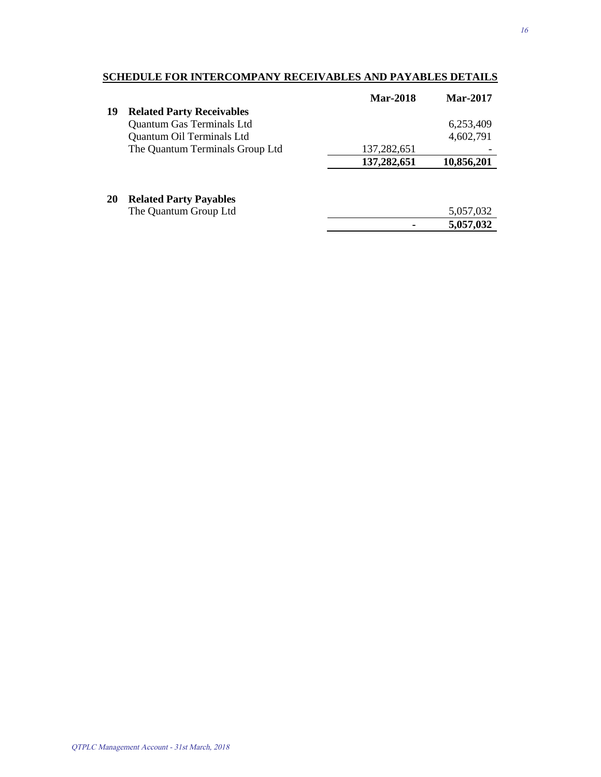### **SCHEDULE FOR INTERCOMPANY RECEIVABLES AND PAYABLES DETAILS**

|    |                                  | <b>Mar-2018</b> | <b>Mar-2017</b> |
|----|----------------------------------|-----------------|-----------------|
| 19 | <b>Related Party Receivables</b> |                 |                 |
|    | Quantum Gas Terminals Ltd        |                 | 6,253,409       |
|    | Quantum Oil Terminals Ltd        |                 | 4,602,791       |
|    | The Quantum Terminals Group Ltd  | 137,282,651     |                 |
|    |                                  | 137,282,651     | 10,856,201      |
|    |                                  |                 |                 |
|    |                                  |                 |                 |

#### **20 Related Party Payables**

| The Quantum Group Ltd | 5,057,032 |
|-----------------------|-----------|
|                       | 5,057,032 |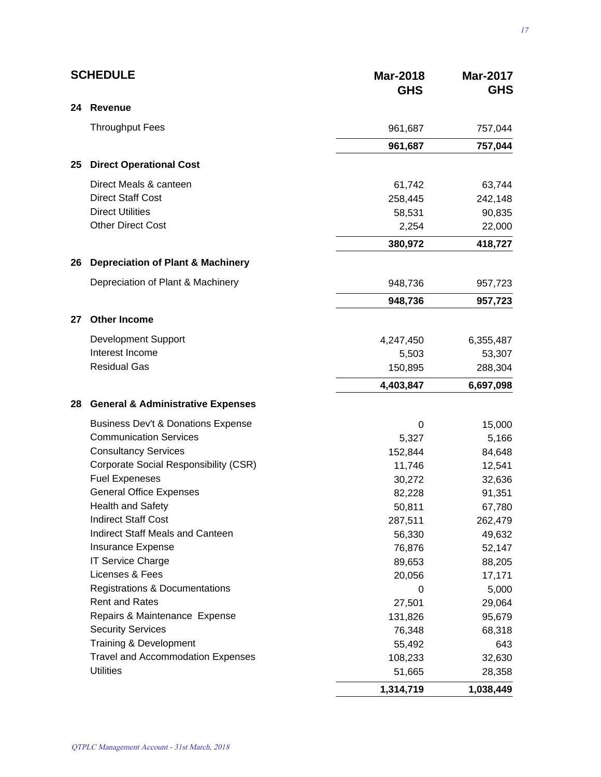|    | <b>SCHEDULE</b>                               | <b>Mar-2018</b><br><b>GHS</b> | <b>Mar-2017</b><br><b>GHS</b> |
|----|-----------------------------------------------|-------------------------------|-------------------------------|
| 24 | <b>Revenue</b>                                |                               |                               |
|    | <b>Throughput Fees</b>                        | 961,687                       | 757,044                       |
|    |                                               | 961,687                       | 757,044                       |
| 25 | <b>Direct Operational Cost</b>                |                               |                               |
|    | Direct Meals & canteen                        | 61,742                        | 63,744                        |
|    | <b>Direct Staff Cost</b>                      | 258,445                       | 242,148                       |
|    | <b>Direct Utilities</b>                       | 58,531                        | 90,835                        |
|    | <b>Other Direct Cost</b>                      | 2,254                         | 22,000                        |
|    |                                               | 380,972                       | 418,727                       |
| 26 | <b>Depreciation of Plant &amp; Machinery</b>  |                               |                               |
|    | Depreciation of Plant & Machinery             | 948,736                       | 957,723                       |
|    |                                               | 948,736                       | 957,723                       |
| 27 | <b>Other Income</b>                           |                               |                               |
|    | <b>Development Support</b>                    | 4,247,450                     | 6,355,487                     |
|    | Interest Income                               | 5,503                         | 53,307                        |
|    | <b>Residual Gas</b>                           | 150,895                       | 288,304                       |
|    |                                               | 4,403,847                     | 6,697,098                     |
| 28 | <b>General &amp; Administrative Expenses</b>  |                               |                               |
|    | <b>Business Dev't &amp; Donations Expense</b> | 0                             | 15,000                        |
|    | <b>Communication Services</b>                 | 5,327                         | 5,166                         |
|    | <b>Consultancy Services</b>                   | 152,844                       | 84,648                        |
|    | <b>Corporate Social Responsibility (CSR)</b>  | 11,746                        | 12,541                        |
|    | <b>Fuel Expeneses</b>                         | 30,272                        | 32,636                        |
|    | <b>General Office Expenses</b>                | 82,228                        | 91,351                        |
|    | Health and Safety                             | 50,811                        | 67,780                        |
|    | <b>Indirect Staff Cost</b>                    | 287,511                       | 262,479                       |
|    | <b>Indirect Staff Meals and Canteen</b>       | 56,330                        | 49,632                        |
|    | <b>Insurance Expense</b>                      | 76,876                        | 52,147                        |
|    | <b>IT Service Charge</b>                      | 89,653                        | 88,205                        |
|    | Licenses & Fees                               | 20,056                        | 17,171                        |
|    | <b>Registrations &amp; Documentations</b>     | 0                             | 5,000                         |
|    | <b>Rent and Rates</b>                         | 27,501                        | 29,064                        |
|    | Repairs & Maintenance Expense                 | 131,826                       | 95,679                        |
|    | <b>Security Services</b>                      | 76,348                        | 68,318                        |
|    | Training & Development                        | 55,492                        | 643                           |
|    | <b>Travel and Accommodation Expenses</b>      | 108,233                       | 32,630                        |
|    | <b>Utilities</b>                              | 51,665                        | 28,358                        |
|    |                                               | 1,314,719                     | 1,038,449                     |